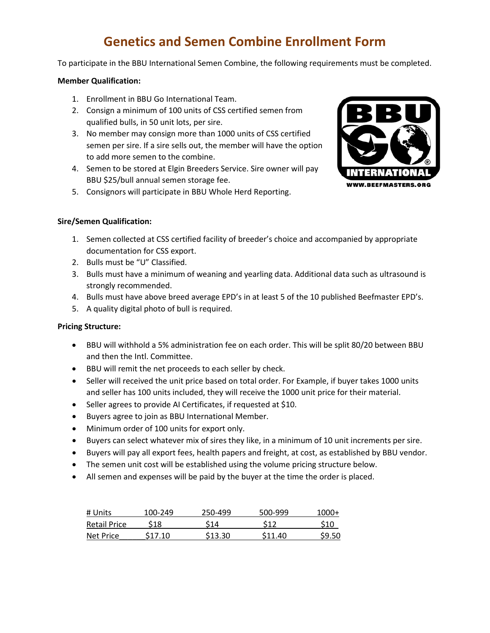## **Genetics and Semen Combine Enrollment Form**

To participate in the BBU International Semen Combine, the following requirements must be completed.

### **Member Qualification:**

- 1. Enrollment in BBU Go International Team.
- 2. Consign a minimum of 100 units of CSS certified semen from qualified bulls, in 50 unit lots, per sire.
- 3. No member may consign more than 1000 units of CSS certified semen per sire. If a sire sells out, the member will have the option to add more semen to the combine.
- 4. Semen to be stored at Elgin Breeders Service. Sire owner will pay BBU \$25/bull annual semen storage fee.
- 5. Consignors will participate in BBU Whole Herd Reporting.



#### **Sire/Semen Qualification:**

- 1. Semen collected at CSS certified facility of breeder's choice and accompanied by appropriate documentation for CSS export.
- 2. Bulls must be "U" Classified.
- 3. Bulls must have a minimum of weaning and yearling data. Additional data such as ultrasound is strongly recommended.
- 4. Bulls must have above breed average EPD's in at least 5 of the 10 published Beefmaster EPD's.
- 5. A quality digital photo of bull is required.

#### **Pricing Structure:**

- BBU will withhold a 5% administration fee on each order. This will be split 80/20 between BBU and then the Intl. Committee.
- BBU will remit the net proceeds to each seller by check.
- Seller will received the unit price based on total order. For Example, if buyer takes 1000 units and seller has 100 units included, they will receive the 1000 unit price for their material.
- Seller agrees to provide AI Certificates, if requested at \$10.
- Buyers agree to join as BBU International Member.
- Minimum order of 100 units for export only.
- Buyers can select whatever mix of sires they like, in a minimum of 10 unit increments per sire.
- Buyers will pay all export fees, health papers and freight, at cost, as established by BBU vendor.
- The semen unit cost will be established using the volume pricing structure below.
- All semen and expenses will be paid by the buyer at the time the order is placed.

| # Units             | 100-249 | 250-499 | 500-999 | 1000+ |
|---------------------|---------|---------|---------|-------|
| <b>Retail Price</b> | 518     | 514     | S12     | S10   |
| Net Price           | S17.10  | \$13.30 | \$11.40 | S9.50 |